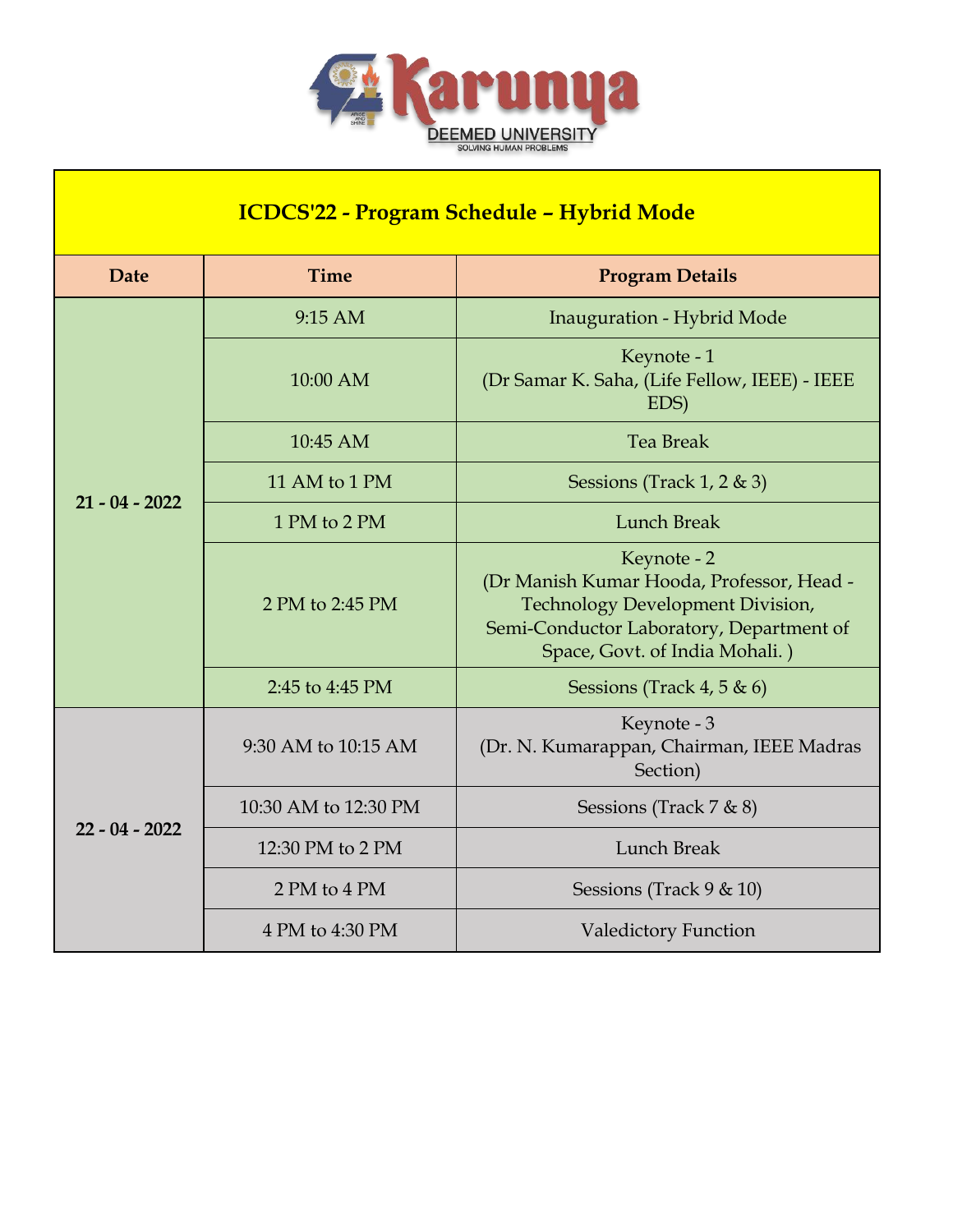

٦

 $\overline{\phantom{a}}$ 

| <b>ICDCS'22 - Program Schedule - Hybrid Mode</b> |                      |                                                                                                                                                                                   |  |  |  |
|--------------------------------------------------|----------------------|-----------------------------------------------------------------------------------------------------------------------------------------------------------------------------------|--|--|--|
| <b>Date</b>                                      | <b>Time</b>          | <b>Program Details</b>                                                                                                                                                            |  |  |  |
|                                                  | 9:15 AM              | Inauguration - Hybrid Mode                                                                                                                                                        |  |  |  |
|                                                  | 10:00 AM             | Keynote - 1<br>(Dr Samar K. Saha, (Life Fellow, IEEE) - IEEE<br>EDS)                                                                                                              |  |  |  |
|                                                  | 10:45 AM             | <b>Tea Break</b>                                                                                                                                                                  |  |  |  |
| $21 - 04 - 2022$                                 | 11 AM to 1 PM        | Sessions (Track 1, 2 $\&$ 3)                                                                                                                                                      |  |  |  |
|                                                  | 1 PM to 2 PM         | <b>Lunch Break</b>                                                                                                                                                                |  |  |  |
|                                                  | 2 PM to 2:45 PM      | Keynote - 2<br>(Dr Manish Kumar Hooda, Professor, Head -<br><b>Technology Development Division,</b><br>Semi-Conductor Laboratory, Department of<br>Space, Govt. of India Mohali.) |  |  |  |
|                                                  | 2:45 to 4:45 PM      | Sessions (Track 4, 5 $\&$ 6)                                                                                                                                                      |  |  |  |
|                                                  | 9:30 AM to 10:15 AM  | Keynote - 3<br>(Dr. N. Kumarappan, Chairman, IEEE Madras<br>Section)                                                                                                              |  |  |  |
|                                                  | 10:30 AM to 12:30 PM | Sessions (Track $7 & 8$ )                                                                                                                                                         |  |  |  |
| $22 - 04 - 2022$                                 | 12:30 PM to 2 PM     | Lunch Break                                                                                                                                                                       |  |  |  |
|                                                  | 2 PM to 4 PM         | Sessions (Track $9 \& 10$ )                                                                                                                                                       |  |  |  |
|                                                  | 4 PM to 4:30 PM      | <b>Valedictory Function</b>                                                                                                                                                       |  |  |  |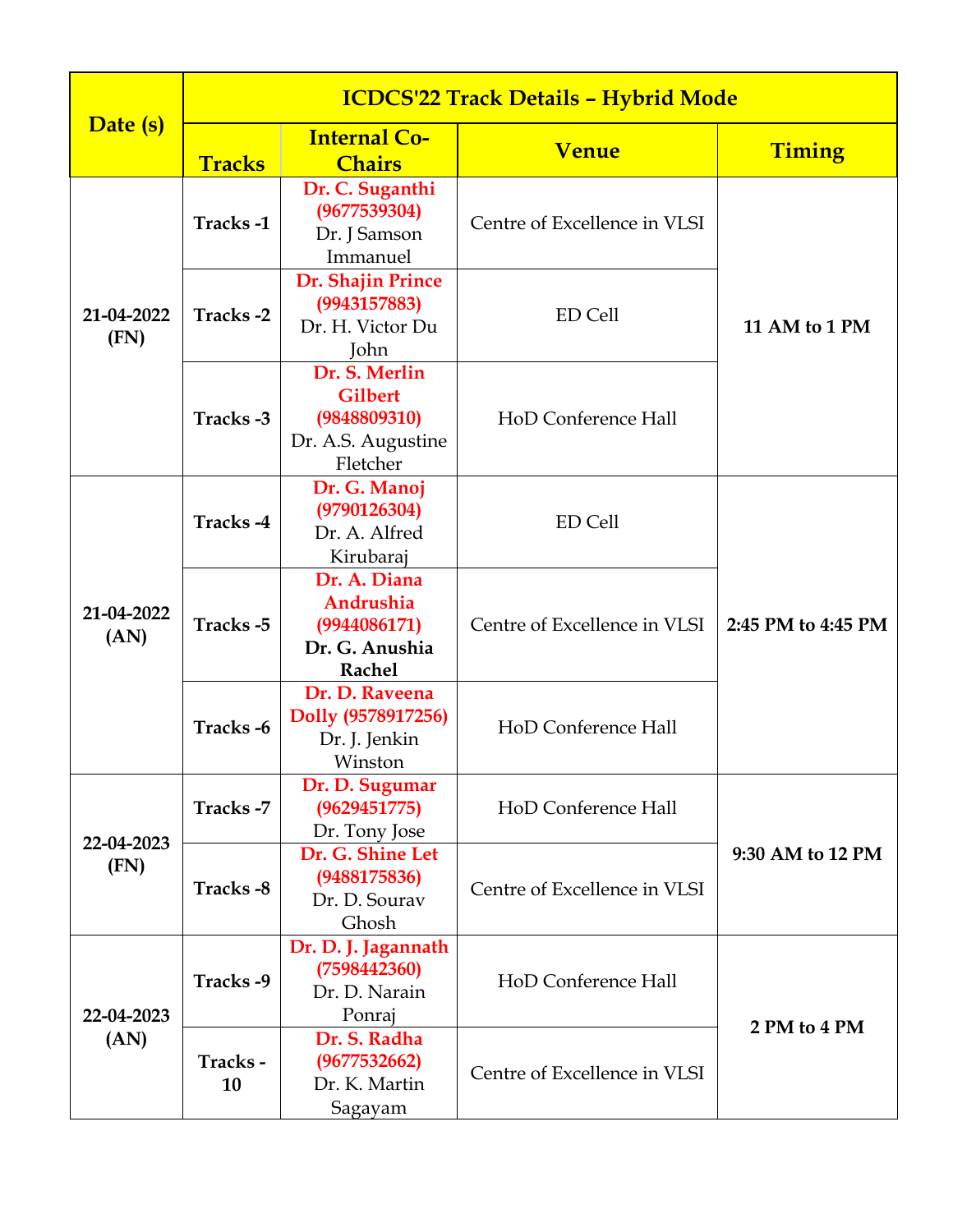|                    | <b>ICDCS'22 Track Details - Hybrid Mode</b> |                                                                                   |                              |                    |  |
|--------------------|---------------------------------------------|-----------------------------------------------------------------------------------|------------------------------|--------------------|--|
| Date (s)           |                                             | <b>Internal Co-</b>                                                               | <b>Venue</b>                 | Timing             |  |
|                    | <b>Tracks</b>                               | <b>Chairs</b>                                                                     |                              |                    |  |
|                    | Tracks-1                                    | Dr. C. Suganthi<br>(9677539304)<br>Dr. J Samson<br>Immanuel                       | Centre of Excellence in VLSI |                    |  |
| 21-04-2022<br>(FN) | Tracks-2                                    | Dr. Shajin Prince<br>(9943157883)<br>Dr. H. Victor Du<br>John                     | <b>ED Cell</b>               | 11 AM to 1 PM      |  |
|                    | Tracks-3                                    | Dr. S. Merlin<br><b>Gilbert</b><br>(9848809310)<br>Dr. A.S. Augustine<br>Fletcher | HoD Conference Hall          |                    |  |
|                    | Tracks-4                                    | Dr. G. Manoj<br>(9790126304)<br>Dr. A. Alfred<br>Kirubaraj                        | ED Cell                      |                    |  |
| 21-04-2022<br>(AN) | Tracks-5                                    | Dr. A. Diana<br>Andrushia<br>(9944086171)<br>Dr. G. Anushia<br><b>Rachel</b>      | Centre of Excellence in VLSI | 2:45 PM to 4:45 PM |  |
|                    | Tracks-6                                    | Dr. D. Raveena<br>Dolly (9578917256)<br>Dr. J. Jenkin<br>Winston                  | HoD Conference Hall          |                    |  |
| 22-04-2023         | Tracks-7                                    | Dr. D. Sugumar<br>(9629451775)<br>Dr. Tony Jose                                   | HoD Conference Hall          |                    |  |
| (FN)               | Tracks-8                                    | Dr. G. Shine Let<br>(9488175836)<br>Dr. D. Sourav<br>Ghosh                        | Centre of Excellence in VLSI | 9:30 AM to 12 PM   |  |
| 22-04-2023         | Tracks-9                                    | Dr. D. J. Jagannath<br>(7598442360)<br>Dr. D. Narain<br>Ponraj                    | HoD Conference Hall          | 2 PM to 4 PM       |  |
| (AN)               | Tracks-<br>10                               | Dr. S. Radha<br>(9677532662)<br>Dr. K. Martin<br>Sagayam                          | Centre of Excellence in VLSI |                    |  |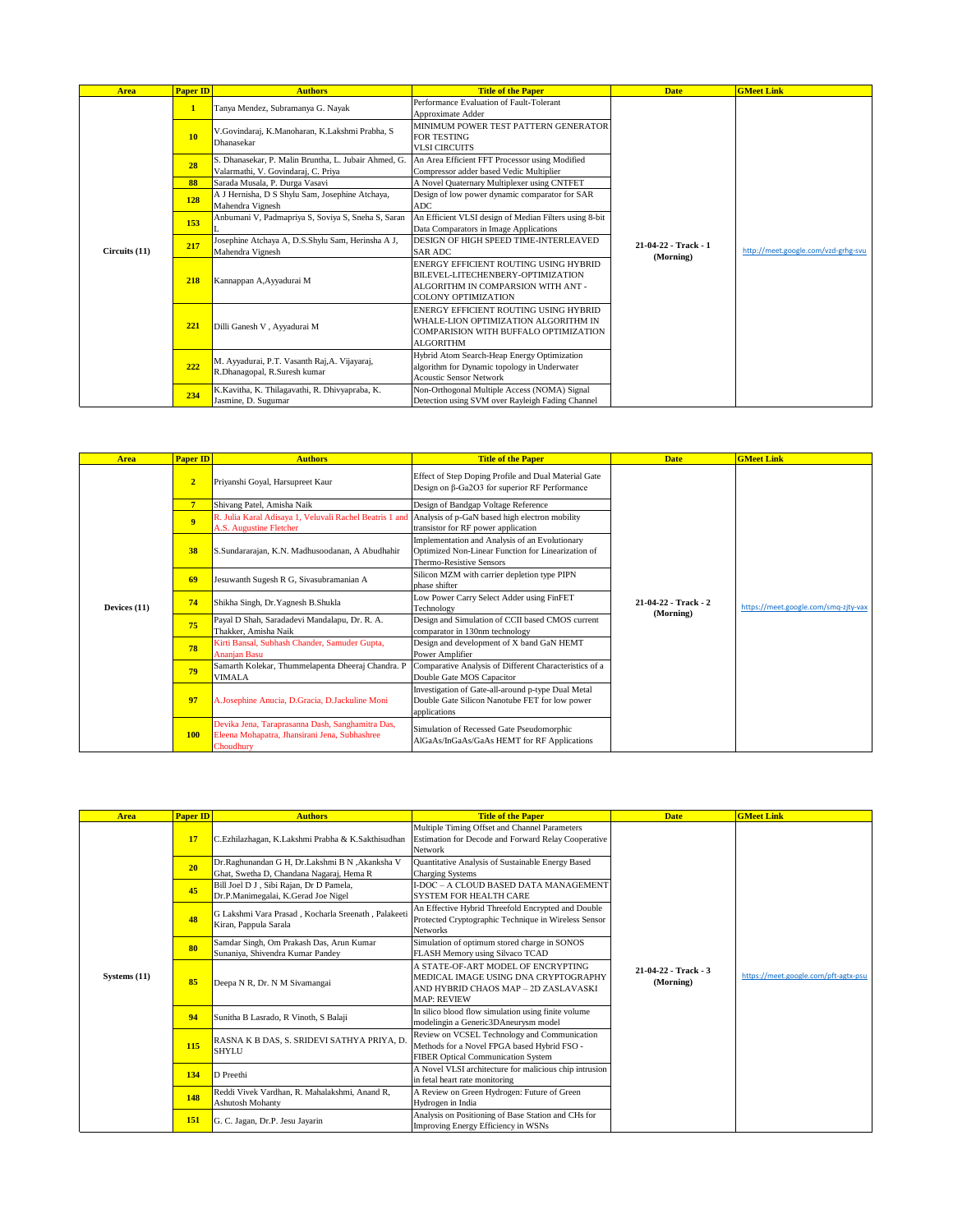| Area          | <b>Paper ID</b> | <b>Authors</b>                                                                              | <b>Title of the Paper</b>                                                                                                                      | <b>Date</b>          | <b>GMeet Link</b>                   |
|---------------|-----------------|---------------------------------------------------------------------------------------------|------------------------------------------------------------------------------------------------------------------------------------------------|----------------------|-------------------------------------|
|               | $\mathbf{1}$    | Tanya Mendez, Subramanya G. Nayak                                                           | Performance Evaluation of Fault-Tolerant<br>Approximate Adder                                                                                  |                      |                                     |
|               | 10              | V.Govindaraj, K.Manoharan, K.Lakshmi Prabha, S.<br>Dhanasekar                               | MINIMUM POWER TEST PATTERN GENERATOR<br><b>FOR TESTING</b><br><b>VLSI CIRCUITS</b>                                                             |                      |                                     |
|               | 28              | S. Dhanasekar, P. Malin Bruntha, L. Jubair Ahmed, G.<br>Valarmathi, V. Govindaraj, C. Priya | An Area Efficient FFT Processor using Modified<br>Compressor adder based Vedic Multiplier                                                      |                      |                                     |
|               | 88              | Sarada Musala, P. Durga Vasavi                                                              | A Novel Quaternary Multiplexer using CNTFET                                                                                                    |                      |                                     |
|               | 128             | A J Hernisha, D S Shylu Sam, Josephine Atchaya,<br>Mahendra Vignesh                         | Design of low power dynamic comparator for SAR<br><b>ADC</b>                                                                                   |                      |                                     |
|               | 153             | Anbumani V, Padmapriya S, Soviya S, Sneha S, Saran                                          | An Efficient VLSI design of Median Filters using 8-bit<br>Data Comparators in Image Applications                                               |                      |                                     |
| Circuits (11) | 217             | Josephine Atchaya A, D.S.Shylu Sam, Herinsha A J,<br>Mahendra Vignesh                       | DESIGN OF HIGH SPEED TIME-INTERLEAVED<br><b>SAR ADC</b>                                                                                        | 21-04-22 - Track - 1 | http://meet.google.com/vzd-grhg-svu |
|               | 218             | Kannappan A, Ayyadurai M                                                                    | ENERGY EFFICIENT ROUTING USING HYBRID<br>BILEVEL-LITECHENBERY-OPTIMIZATION<br>ALGORITHM IN COMPARSION WITH ANT -<br><b>COLONY OPTIMIZATION</b> | (Morning)            |                                     |
|               | 221             | Dilli Ganesh V, Ayyadurai M                                                                 | ENERGY EFFICIENT ROUTING USING HYBRID<br>WHALE-LION OPTIMIZATION ALGORITHM IN<br>COMPARISION WITH BUFFALO OPTIMIZATION<br><b>ALGORITHM</b>     |                      |                                     |
|               | 222             | M. Ayyadurai, P.T. Vasanth Raj, A. Vijayaraj,<br>R.Dhanagopal, R.Suresh kumar               | Hybrid Atom Search-Heap Energy Optimization<br>algorithm for Dynamic topology in Underwater<br><b>Acoustic Sensor Network</b>                  |                      |                                     |
|               | 234             | K.Kavitha, K. Thilagavathi, R. Dhivyapraba, K.<br>Jasmine, D. Sugumar                       | Non-Orthogonal Multiple Access (NOMA) Signal<br>Detection using SVM over Rayleigh Fading Channel                                               |                      |                                     |

| <b>Area</b>  | <b>Paper ID</b> | <b>Authors</b>                                                                                                 | <b>Title of the Paper</b>                                                                                                        | <b>Date</b>                       | <b>GMeet Link</b>                    |
|--------------|-----------------|----------------------------------------------------------------------------------------------------------------|----------------------------------------------------------------------------------------------------------------------------------|-----------------------------------|--------------------------------------|
|              | $\overline{2}$  | Priyanshi Goyal, Harsupreet Kaur                                                                               | Effect of Step Doping Profile and Dual Material Gate<br>Design on β-Ga2O3 for superior RF Performance                            |                                   |                                      |
|              | 7               | Shivang Patel, Amisha Naik                                                                                     | Design of Bandgap Voltage Reference                                                                                              |                                   |                                      |
|              | 9 <sup>°</sup>  | R. Julia Karal Adisaya 1, Veluvali Rachel Beatris 1 and<br>A.S. Augustine Fletcher                             | Analysis of p-GaN based high electron mobility<br>transistor for RF power application                                            |                                   |                                      |
| Devices (11) | 38              | S.Sundararajan, K.N. Madhusoodanan, A Abudhahir                                                                | Implementation and Analysis of an Evolutionary<br>Optimized Non-Linear Function for Linearization of<br>Thermo-Resistive Sensors |                                   | https://meet.google.com/smg-zitv-vax |
|              | 69              | Jesuwanth Sugesh R G, Sivasubramanian A                                                                        | Silicon MZM with carrier depletion type PIPN<br>phase shifter                                                                    | 21-04-22 - Track - 2<br>(Morning) |                                      |
|              | 74              | Shikha Singh, Dr. Yagnesh B. Shukla                                                                            | Low Power Carry Select Adder using FinFET<br>Technology                                                                          |                                   |                                      |
|              | 75              | Payal D Shah, Saradadevi Mandalapu, Dr. R. A.<br>Thakker, Amisha Naik                                          | Design and Simulation of CCII based CMOS current<br>comparator in 130nm technology                                               |                                   |                                      |
|              | 78              | Kirti Bansal, Subhash Chander, Samuder Gupta,<br><b>Ananjan Basu</b>                                           | Design and development of X band GaN HEMT<br>Power Amplifier                                                                     |                                   |                                      |
|              | 79              | Samarth Kolekar, Thummelapenta Dheeraj Chandra. P<br>VIMALA                                                    | Comparative Analysis of Different Characteristics of a<br>Double Gate MOS Capacitor                                              |                                   |                                      |
|              | 97              | A.Josephine Anucia, D.Gracia, D.Jackuline Moni                                                                 | Investigation of Gate-all-around p-type Dual Metal<br>Double Gate Silicon Nanotube FET for low power<br>applications             |                                   |                                      |
|              | <b>100</b>      | Devika Jena, Taraprasanna Dash, Sanghamitra Das,<br>Eleena Mohapatra, Jhansirani Jena, Subhashree<br>Choudhury | Simulation of Recessed Gate Pseudomorphic<br>AlGaAs/InGaAs/GaAs HEMT for RF Applications                                         |                                   |                                      |

| <b>Area</b>  | Paper ID  | <b>Authors</b>                                                                             | <b>Title of the Paper</b>                                                                                                                | <b>Date</b>                       | <b>GMeet Link</b>                    |
|--------------|-----------|--------------------------------------------------------------------------------------------|------------------------------------------------------------------------------------------------------------------------------------------|-----------------------------------|--------------------------------------|
|              | <b>17</b> | C.Ezhilazhagan, K.Lakshmi Prabha & K.Sakthisudhan                                          | Multiple Timing Offset and Channel Parameters<br>Estimation for Decode and Forward Relay Cooperative<br>Network                          |                                   |                                      |
|              | 20        | Dr.Raghunandan G H, Dr.Lakshmi B N ,Akanksha V<br>Ghat, Swetha D, Chandana Nagaraj, Hema R | Quantitative Analysis of Sustainable Energy Based<br><b>Charging Systems</b>                                                             |                                   |                                      |
|              | 45        | Bill Joel D J, Sibi Rajan, Dr D Pamela,<br>Dr.P.Manimegalai, K.Gerad Joe Nigel             | I-DOC - A CLOUD BASED DATA MANAGEMENT<br><b>SYSTEM FOR HEALTH CARE</b>                                                                   |                                   |                                      |
|              | 48        | G Lakshmi Vara Prasad, Kocharla Sreenath, Palakeeti<br>Kiran, Pappula Sarala               | An Effective Hybrid Threefold Encrypted and Double<br>Protected Cryptographic Technique in Wireless Sensor<br><b>Networks</b>            |                                   |                                      |
|              | 80        | Samdar Singh, Om Prakash Das, Arun Kumar<br>Sunaniya, Shivendra Kumar Pandey               | Simulation of optimum stored charge in SONOS<br>FLASH Memory using Silvaco TCAD                                                          |                                   |                                      |
| Systems (11) | 85        | Deepa N R, Dr. N M Sivamangai                                                              | A STATE-OF-ART MODEL OF ENCRYPTING<br>MEDICAL IMAGE USING DNA CRYPTOGRAPHY<br>AND HYBRID CHAOS MAP - 2D ZASLAVASKI<br><b>MAP: REVIEW</b> | 21-04-22 - Track - 3<br>(Morning) | https://meet.google.com/pft-agtx-psu |
|              | 94        | Sunitha B Lasrado, R Vinoth, S Balaji                                                      | In silico blood flow simulation using finite volume<br>modelingin a Generic3DAneurysm model                                              |                                   |                                      |
|              | 115       | RASNA K B DAS, S. SRIDEVI SATHYA PRIYA, D.<br>SHYLU                                        | Review on VCSEL Technology and Communication<br>Methods for a Novel FPGA based Hybrid FSO -<br><b>FIBER Optical Communication System</b> |                                   |                                      |
|              | 134       | D Preethi                                                                                  | A Novel VLSI architecture for malicious chip intrusion<br>in fetal heart rate monitoring                                                 |                                   |                                      |
|              | 148       | Reddi Vivek Vardhan, R. Mahalakshmi, Anand R,<br><b>Ashutosh Mohanty</b>                   | A Review on Green Hydrogen: Future of Green<br>Hydrogen in India                                                                         |                                   |                                      |
|              | 151       | G. C. Jagan, Dr.P. Jesu Jayarin                                                            | Analysis on Positioning of Base Station and CHs for<br>Improving Energy Efficiency in WSNs                                               |                                   |                                      |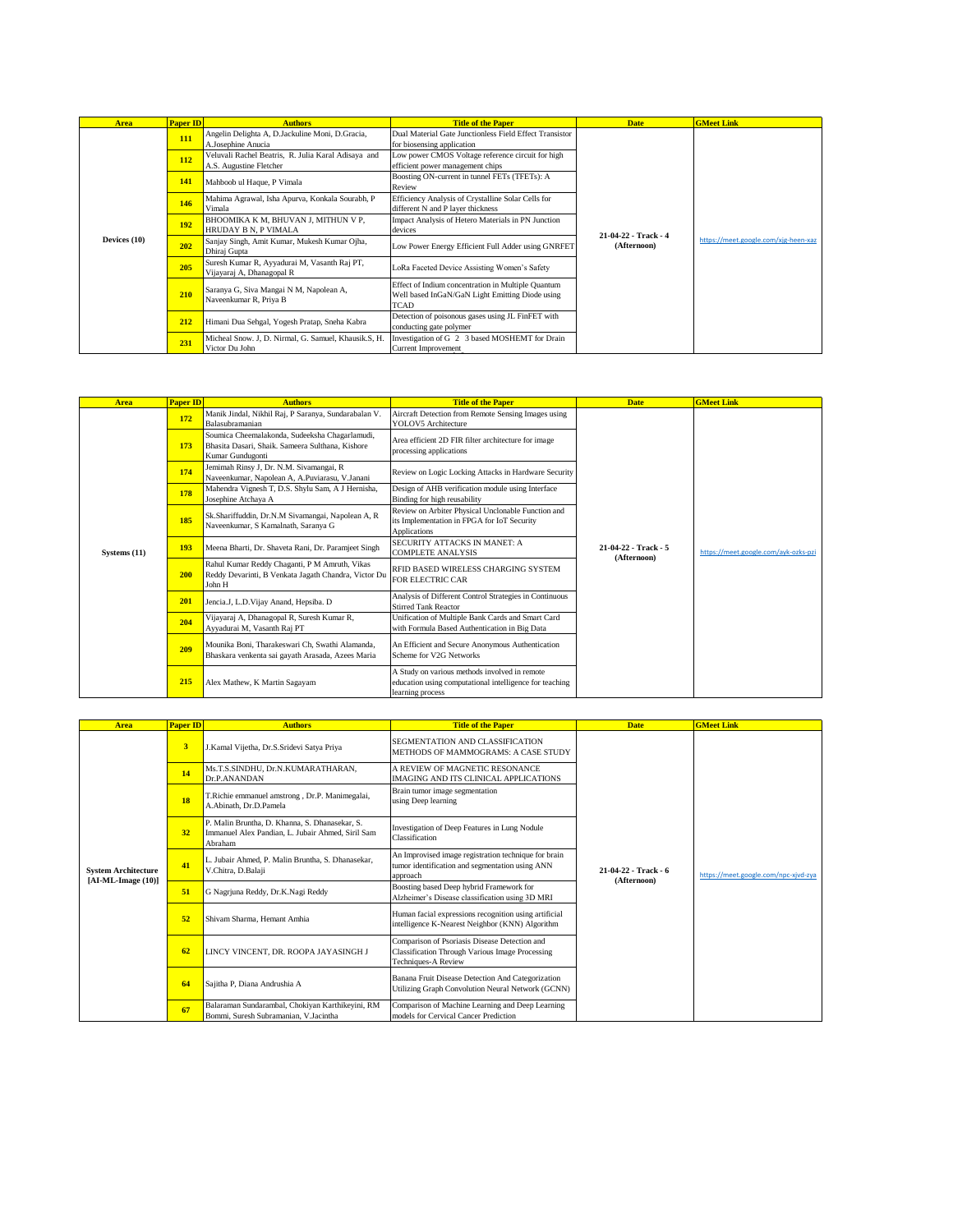| <b>Area</b>  | <b>Paper ID</b> | <b>Authors</b>                                                                 | <b>Title of the Paper</b>                                                                                            | <b>Date</b>                         | <b>GMeet Link</b>                    |
|--------------|-----------------|--------------------------------------------------------------------------------|----------------------------------------------------------------------------------------------------------------------|-------------------------------------|--------------------------------------|
| Devices (10) | 111             | Angelin Delighta A, D.Jackuline Moni, D.Gracia,<br>A.Josephine Anucia          | Dual Material Gate Junctionless Field Effect Transistor<br>for biosensing application                                |                                     |                                      |
|              | <b>112</b>      | Veluvali Rachel Beatris, R. Julia Karal Adisaya and<br>A.S. Augustine Fletcher | Low power CMOS Voltage reference circuit for high<br>efficient power management chips                                |                                     |                                      |
|              | 141             | Mahboob ul Haque, P Vimala                                                     | Boosting ON-current in tunnel FETs (TFETs): A<br>Review                                                              |                                     |                                      |
|              | 146             | Mahima Agrawal, Isha Apurva, Konkala Sourabh, P<br>Vimala                      | Efficiency Analysis of Crystalline Solar Cells for<br>different N and P layer thickness                              |                                     | https://meet.google.com/xig-heen-xaz |
|              | 192             | BHOOMIKA K M, BHUVAN J, MITHUN V P,<br><b>HRUDAY B N. P VIMALA</b>             | Impact Analysis of Hetero Materials in PN Junction<br>devices                                                        | 21-04-22 - Track - 4<br>(Afternoon) |                                      |
|              | 202             | Sanjay Singh, Amit Kumar, Mukesh Kumar Ojha,<br>Dhiraj Gupta                   | Low Power Energy Efficient Full Adder using GNRFET                                                                   |                                     |                                      |
|              | 205             | Suresh Kumar R, Ayyadurai M, Vasanth Raj PT,<br>Vijayaraj A, Dhanagopal R      | LoRa Faceted Device Assisting Women's Safety                                                                         |                                     |                                      |
|              | 210             | Saranya G, Siva Mangai N M, Napolean A,<br>Naveenkumar R, Priya B              | Effect of Indium concentration in Multiple Quantum<br>Well based InGaN/GaN Light Emitting Diode using<br><b>TCAD</b> |                                     |                                      |
|              | 212             | Himani Dua Sehgal, Yogesh Pratap, Sneha Kabra                                  | Detection of poisonous gases using JL FinFET with<br>conducting gate polymer                                         |                                     |                                      |
|              | 231             | Micheal Snow. J, D. Nirmal, G. Samuel, Khausik.S, H.<br>Victor Du John         | Investigation of G 2 3 based MOSHEMT for Drain<br>Current Improvement                                                |                                     |                                      |

| <b>Area</b>  | <b>Paper ID</b> | <b>Authors</b>                                                                                                         | <b>Title of the Paper</b>                                                                                                    | <b>Date</b>                         | <b>GMeet Link</b>                    |
|--------------|-----------------|------------------------------------------------------------------------------------------------------------------------|------------------------------------------------------------------------------------------------------------------------------|-------------------------------------|--------------------------------------|
|              | 172             | Manik Jindal, Nikhil Raj, P Saranya, Sundarabalan V.<br>Balasubramanian                                                | Aircraft Detection from Remote Sensing Images using<br>YOLOV5 Architecture                                                   |                                     |                                      |
|              | 173             | Soumica Cheemalakonda, Sudeeksha Chagarlamudi,<br>Bhasita Dasari, Shaik. Sameera Sulthana, Kishore<br>Kumar Gundugonti | Area efficient 2D FIR filter architecture for image<br>processing applications                                               |                                     |                                      |
|              | 174             | Jemimah Rinsy J, Dr. N.M. Sivamangai, R<br>Naveenkumar, Napolean A, A.Puviarasu, V.Janani                              | Review on Logic Locking Attacks in Hardware Security                                                                         |                                     |                                      |
|              | 178             | Mahendra Vignesh T, D.S. Shylu Sam, A J Hernisha,<br>Josephine Atchaya A                                               | Design of AHB verification module using Interface<br>Binding for high reusability                                            |                                     | https://meet.google.com/avk-ozks-pzi |
|              | 185             | Sk.Shariffuddin, Dr.N.M Sivamangai, Napolean A, R<br>Naveenkumar, S Kamalnath, Saranya G                               | Review on Arbiter Physical Unclonable Function and<br>its Implementation in FPGA for IoT Security<br>Applications            | 21-04-22 - Track - 5<br>(Afternoon) |                                      |
| Systems (11) | 193             | Meena Bharti, Dr. Shaveta Rani, Dr. Paramjeet Singh                                                                    | SECURITY ATTACKS IN MANET: A<br><b>COMPLETE ANALYSIS</b>                                                                     |                                     |                                      |
|              | 200             | Rahul Kumar Reddy Chaganti, P M Amruth, Vikas<br>Reddy Devarinti, B Venkata Jagath Chandra, Victor Du<br>John H        | RFID BASED WIRELESS CHARGING SYSTEM<br><b>FOR ELECTRIC CAR</b>                                                               |                                     |                                      |
|              | 201             | Jencia.J, L.D. Vijay Anand, Hepsiba. D                                                                                 | Analysis of Different Control Strategies in Continuous<br><b>Stirred Tank Reactor</b>                                        |                                     |                                      |
|              | 204             | Vijayaraj A, Dhanagopal R, Suresh Kumar R,<br>Ayyadurai M, Vasanth Raj PT                                              | Unification of Multiple Bank Cards and Smart Card<br>with Formula Based Authentication in Big Data                           |                                     |                                      |
|              | 209             | Mounika Boni, Tharakeswari Ch, Swathi Alamanda,<br>Bhaskara venkenta sai gayath Arasada, Azees Maria                   | An Efficient and Secure Anonymous Authentication<br>Scheme for V2G Networks                                                  |                                     |                                      |
|              | 215             | Alex Mathew, K Martin Sagayam                                                                                          | A Study on various methods involved in remote<br>education using computational intelligence for teaching<br>learning process |                                     |                                      |

| <b>Area</b>                                       | <b>Paper ID</b> | <b>Authors</b>                                                                                                 | <b>Title of the Paper</b>                                                                                                             | <b>Date</b>                         | <b>GMeet Link</b>                    |
|---------------------------------------------------|-----------------|----------------------------------------------------------------------------------------------------------------|---------------------------------------------------------------------------------------------------------------------------------------|-------------------------------------|--------------------------------------|
|                                                   | 3               | J.Kamal Vijetha, Dr.S.Sridevi Satya Priya                                                                      | SEGMENTATION AND CLASSIFICATION<br>METHODS OF MAMMOGRAMS: A CASE STUDY                                                                |                                     |                                      |
|                                                   | 14              | Ms.T.S.SINDHU, Dr.N.KUMARATHARAN,<br>Dr.P.ANANDAN                                                              | A REVIEW OF MAGNETIC RESONANCE<br><b>IMAGING AND ITS CLINICAL APPLICATIONS</b>                                                        |                                     |                                      |
|                                                   | 18              | T.Richie emmanuel amstrong, Dr.P. Manimegalai,<br>A.Abinath, Dr.D.Pamela                                       | Brain tumor image segmentation<br>using Deep learning                                                                                 |                                     |                                      |
|                                                   | 32              | P. Malin Bruntha, D. Khanna, S. Dhanasekar, S.<br>Immanuel Alex Pandian, L. Jubair Ahmed, Siril Sam<br>Abraham | Investigation of Deep Features in Lung Nodule<br>Classification                                                                       |                                     |                                      |
| <b>System Architecture</b><br>$[AI-ML-Image(10)]$ | 41              | L. Jubair Ahmed, P. Malin Bruntha, S. Dhanasekar,<br>V.Chitra, D.Balaji                                        | An Improvised image registration technique for brain<br>tumor identification and segmentation using ANN<br>approach                   | 21-04-22 - Track - 6<br>(Afternoon) | https://meet.google.com/npc-xjvd-zya |
|                                                   | 51              | G Nagrjuna Reddy, Dr.K.Nagi Reddy                                                                              | Boosting based Deep hybrid Framework for<br>Alzheimer's Disease classification using 3D MRI                                           |                                     |                                      |
|                                                   | 52              | Shivam Sharma, Hemant Amhia                                                                                    | Human facial expressions recognition using artificial<br>intelligence K-Nearest Neighbor (KNN) Algorithm                              |                                     |                                      |
|                                                   | 62              | LINCY VINCENT, DR. ROOPA JAYASINGH J                                                                           | Comparison of Psoriasis Disease Detection and<br><b>Classification Through Various Image Processing</b><br><b>Techniques-A Review</b> |                                     |                                      |
|                                                   | 64              | Saiitha P. Diana Andrushia A                                                                                   | Banana Fruit Disease Detection And Categorization<br>Utilizing Graph Convolution Neural Network (GCNN)                                |                                     |                                      |
|                                                   | 67              | Balaraman Sundarambal, Chokiyan Karthikeyini, RM<br>Bommi, Suresh Subramanian, V.Jacintha                      | Comparison of Machine Learning and Deep Learning<br>models for Cervical Cancer Prediction                                             |                                     |                                      |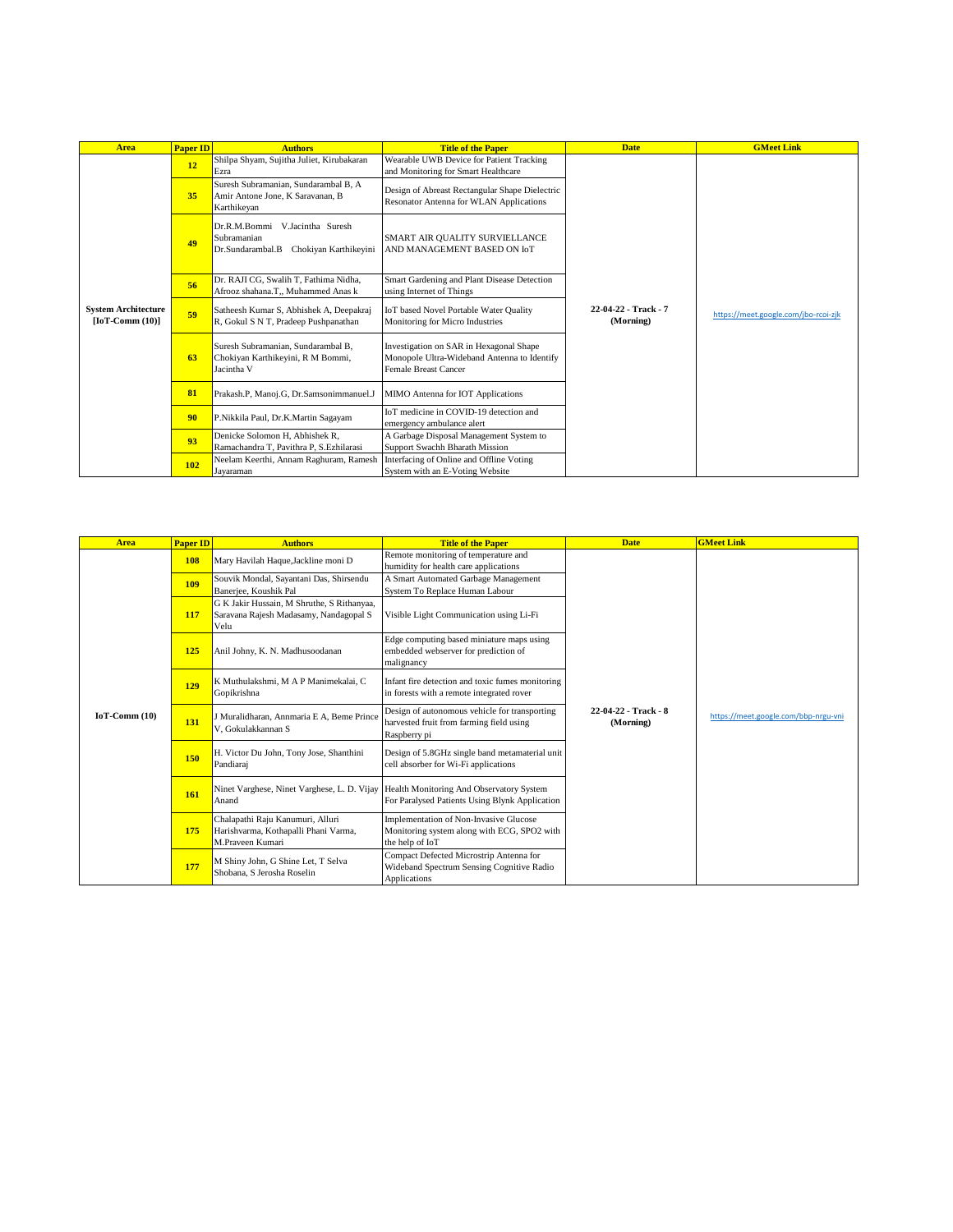| <b>Area</b>                                    | <b>Paper ID</b>  | <b>Authors</b>                                                                                | <b>Title of the Paper</b>                                                                                             | <b>Date</b>                       | <b>GMeet Link</b>                    |
|------------------------------------------------|------------------|-----------------------------------------------------------------------------------------------|-----------------------------------------------------------------------------------------------------------------------|-----------------------------------|--------------------------------------|
|                                                | 12               | Shilpa Shyam, Sujitha Juliet, Kirubakaran<br>Ezra                                             | Wearable UWB Device for Patient Tracking<br>and Monitoring for Smart Healthcare                                       |                                   |                                      |
|                                                | 35               | Suresh Subramanian, Sundarambal B, A<br>Amir Antone Jone, K Saravanan, B<br>Karthikeyan       | Design of Abreast Rectangular Shape Dielectric<br>Resonator Antenna for WLAN Applications                             |                                   |                                      |
|                                                | 49               | Dr.R.M.Bommi<br>V.Jacintha Suresh<br>Subramanian<br>Chokiyan Karthikeyini<br>Dr.Sundarambal.B | SMART AIR QUALITY SURVIELLANCE<br>AND MANAGEMENT BASED ON IoT                                                         |                                   |                                      |
|                                                | 56               | Dr. RAJI CG, Swalih T, Fathima Nidha,<br>Afrooz shahana.T., Muhammed Anas k                   | Smart Gardening and Plant Disease Detection<br>using Internet of Things                                               |                                   |                                      |
| <b>System Architecture</b><br>$[IoT-Comm(10)]$ | 59               | Satheesh Kumar S, Abhishek A, Deepakraj<br>R, Gokul S N T, Pradeep Pushpanathan               | IoT based Novel Portable Water Quality<br>Monitoring for Micro Industries                                             | 22-04-22 - Track - 7<br>(Morning) | https://meet.google.com/jbo-rcoi-zjk |
|                                                | 63<br>Jacintha V | Suresh Subramanian, Sundarambal B,<br>Chokiyan Karthikeyini, R M Bommi,                       | Investigation on SAR in Hexagonal Shape<br>Monopole Ultra-Wideband Antenna to Identify<br><b>Female Breast Cancer</b> |                                   |                                      |
|                                                | 81               | Prakash.P, Manoj.G, Dr.Samsonimmanuel.J                                                       | MIMO Antenna for IOT Applications                                                                                     |                                   |                                      |
|                                                | 90               | P.Nikkila Paul, Dr.K.Martin Sagayam                                                           | IoT medicine in COVID-19 detection and<br>emergency ambulance alert                                                   |                                   |                                      |
|                                                | 93               | Denicke Solomon H, Abhishek R,<br>Ramachandra T. Pavithra P. S. Ezhilarasi                    | A Garbage Disposal Management System to<br>Support Swachh Bharath Mission                                             |                                   |                                      |
|                                                | <b>102</b>       | Neelam Keerthi, Annam Raghuram, Ramesh<br>Jayaraman                                           | Interfacing of Online and Offline Voting<br>System with an E-Voting Website                                           |                                   |                                      |

| <b>Area</b>    | <b>Paper ID</b> | <b>Authors</b>                                                                                | <b>Title of the Paper</b>                                                                                 | <b>Date</b>                       | <b>GMeet Link</b>                    |
|----------------|-----------------|-----------------------------------------------------------------------------------------------|-----------------------------------------------------------------------------------------------------------|-----------------------------------|--------------------------------------|
|                | <b>108</b>      | Mary Havilah Haque, Jackline moni D                                                           | Remote monitoring of temperature and<br>humidity for health care applications                             |                                   |                                      |
|                | 109             | Souvik Mondal, Sayantani Das, Shirsendu<br>Banerjee, Koushik Pal                              | A Smart Automated Garbage Management<br>System To Replace Human Labour                                    |                                   |                                      |
|                | 117             | G K Jakir Hussain, M Shruthe, S Rithanyaa,<br>Saravana Rajesh Madasamy, Nandagopal S<br>Velu  | Visible Light Communication using Li-Fi                                                                   |                                   |                                      |
|                | 125             | Anil Johny, K. N. Madhusoodanan                                                               | Edge computing based miniature maps using<br>embedded webserver for prediction of<br>malignancy           |                                   |                                      |
|                | 129             | K Muthulakshmi, M A P Manimekalai, C<br>Gopikrishna                                           | Infant fire detection and toxic fumes monitoring<br>in forests with a remote integrated rover             |                                   |                                      |
| $IoT-Comm(10)$ | 131             | J Muralidharan, Annmaria E A, Beme Prince<br>V. Gokulakkannan S                               | Design of autonomous vehicle for transporting<br>harvested fruit from farming field using<br>Raspberry pi | 22-04-22 - Track - 8<br>(Morning) | https://meet.google.com/bbp-nrgu-yni |
|                | 150             | H. Victor Du John, Tony Jose, Shanthini<br>Pandiaraj                                          | Design of 5.8GHz single band metamaterial unit<br>cell absorber for Wi-Fi applications                    |                                   |                                      |
|                | 161             | Ninet Varghese, Ninet Varghese, L. D. Vijay Health Monitoring And Observatory System<br>Anand | For Paralysed Patients Using Blynk Application                                                            |                                   |                                      |
|                | 175             | Chalapathi Raju Kanumuri, Alluri<br>Harishvarma, Kothapalli Phani Varma,<br>M.Praveen Kumari  | Implementation of Non-Invasive Glucose<br>Monitoring system along with ECG, SPO2 with<br>the help of IoT  |                                   |                                      |
|                | 177             | M Shiny John, G Shine Let, T Selva<br>Shobana, S Jerosha Roselin                              | Compact Defected Microstrip Antenna for<br>Wideband Spectrum Sensing Cognitive Radio<br>Applications      |                                   |                                      |